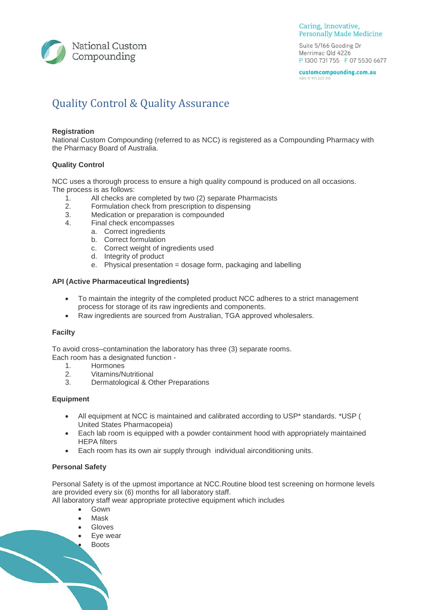

#### Caring, Innovative, **Personally Made Medicine**

Suite 5/166 Gooding Dr Merrimac Qld 4226 P 1300 731 755 F 07 5530 6677

customcompounding.com.au ABN 17 971 220 310

# Quality Control & Quality Assurance

# **Registration**

National Custom Compounding (referred to as NCC) is registered as a Compounding Pharmacy with the Pharmacy Board of Australia.

## **Quality Control**

NCC uses a thorough process to ensure a high quality compound is produced on all occasions. The process is as follows:

- 1. All checks are completed by two (2) separate Pharmacists
- 2. Formulation check from prescription to dispensing
- 3. Medication or preparation is compounded
- 4. Final check encompasses
	- a. Correct ingredients
	- b. Correct formulation
	- c. Correct weight of ingredients used
	- d. Integrity of product
	- e. Physical presentation = dosage form, packaging and labelling

# **API (Active Pharmaceutical Ingredients)**

- To maintain the integrity of the completed product NCC adheres to a strict management process for storage of its raw ingredients and components.
- Raw ingredients are sourced from Australian, TGA approved wholesalers.

### **Facilty**

To avoid cross–contamination the laboratory has three (3) separate rooms.

Each room has a designated function -

- 1. Hormones
- 2. Vitamins/Nutritional
- 3. Dermatological & Other Preparations

# **Equipment**

- All equipment at NCC is maintained and calibrated according to USP\* standards. \*USP ( United States Pharmacopeia)
- Each lab room is equipped with a powder containment hood with appropriately maintained HEPA filters
- Each room has its own air supply through individual airconditioning units.

# **Personal Safety**

Personal Safety is of the upmost importance at NCC.Routine blood test screening on hormone levels are provided every six (6) months for all laboratory staff.

All laboratory staff wear appropriate protective equipment which includes

- Gown
- Mask
- Gloves
- Eye wear
- **Boots**